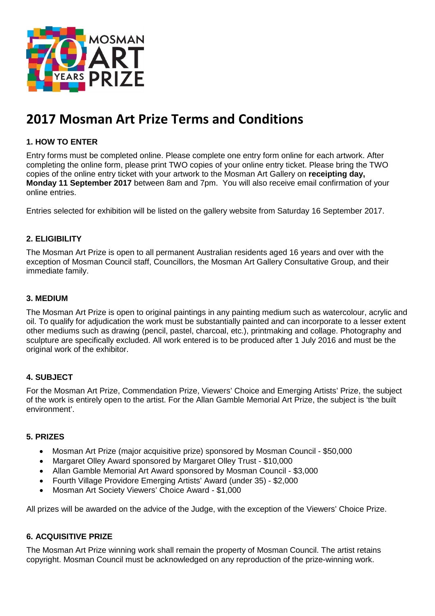

# **2017 Mosman Art Prize Terms and Conditions**

# **1. HOW TO ENTER**

Entry forms must be completed online. Please complete one entry form online for each artwork. After completing the online form, please print TWO copies of your online entry ticket. Please bring the TWO copies of the online entry ticket with your artwork to the Mosman Art Gallery on **receipting day, Monday 11 September 2017** between 8am and 7pm. You will also receive email confirmation of your online entries.

Entries selected for exhibition will be listed on the gallery website from Saturday 16 September 2017.

## **2. ELIGIBILITY**

The Mosman Art Prize is open to all permanent Australian residents aged 16 years and over with the exception of Mosman Council staff, Councillors, the Mosman Art Gallery Consultative Group, and their immediate family.

#### **3. MEDIUM**

The Mosman Art Prize is open to original paintings in any painting medium such as watercolour, acrylic and oil. To qualify for adjudication the work must be substantially painted and can incorporate to a lesser extent other mediums such as drawing (pencil, pastel, charcoal, etc.), printmaking and collage. Photography and sculpture are specifically excluded. All work entered is to be produced after 1 July 2016 and must be the original work of the exhibitor.

# **4. SUBJECT**

For the Mosman Art Prize, Commendation Prize, Viewers' Choice and Emerging Artists' Prize, the subject of the work is entirely open to the artist. For the Allan Gamble Memorial Art Prize, the subject is 'the built environment'.

#### **5. PRIZES**

- Mosman Art Prize (major acquisitive prize) sponsored by Mosman Council \$50,000
- Margaret Olley Award sponsored by Margaret Olley Trust \$10,000
- Allan Gamble Memorial Art Award sponsored by Mosman Council \$3,000
- Fourth Village Providore Emerging Artists' Award (under 35) \$2,000
- Mosman Art Society Viewers' Choice Award \$1,000

All prizes will be awarded on the advice of the Judge, with the exception of the Viewers' Choice Prize.

#### **6. ACQUISITIVE PRIZE**

The Mosman Art Prize winning work shall remain the property of Mosman Council. The artist retains copyright. Mosman Council must be acknowledged on any reproduction of the prize-winning work.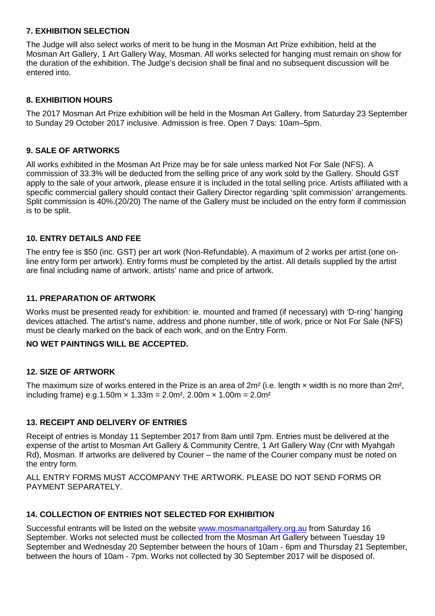# **7. EXHIBITION SELECTION**

The Judge will also select works of merit to be hung in the Mosman Art Prize exhibition, held at the Mosman Art Gallery, 1 Art Gallery Way, Mosman. All works selected for hanging must remain on show for the duration of the exhibition. The Judge's decision shall be final and no subsequent discussion will be entered into.

## **8. EXHIBITION HOURS**

The 2017 Mosman Art Prize exhibition will be held in the Mosman Art Gallery, from Saturday 23 September to Sunday 29 October 2017 inclusive. Admission is free. Open 7 Days: 10am–5pm.

#### **9. SALE OF ARTWORKS**

All works exhibited in the Mosman Art Prize may be for sale unless marked Not For Sale (NFS). A commission of 33.3% will be deducted from the selling price of any work sold by the Gallery. Should GST apply to the sale of your artwork, please ensure it is included in the total selling price. Artists affiliated with a specific commercial gallery should contact their Gallery Director regarding 'split commission' arrangements. Split commission is 40%.(20/20) The name of the Gallery must be included on the entry form if commission is to be split.

## **10. ENTRY DETAILS AND FEE**

The entry fee is \$50 (inc. GST) per art work (Non-Refundable). A maximum of 2 works per artist (one online entry form per artwork). Entry forms must be completed by the artist. All details supplied by the artist are final including name of artwork, artists' name and price of artwork.

#### **11. PREPARATION OF ARTWORK**

Works must be presented ready for exhibition: ie. mounted and framed (if necessary) with 'D-ring' hanging devices attached. The artist's name, address and phone number, title of work, price or Not For Sale (NFS) must be clearly marked on the back of each work, and on the Entry Form.

#### **NO WET PAINTINGS WILL BE ACCEPTED.**

#### **12. SIZE OF ARTWORK**

The maximum size of works entered in the Prize is an area of  $2m^2$  (i.e. length  $\times$  width is no more than  $2m^2$ , including frame) e.g.1.50m  $\times$  1.33m = 2.0m<sup>2</sup>, 2.00m  $\times$  1.00m = 2.0m<sup>2</sup>

# **13. RECEIPT AND DELIVERY OF ENTRIES**

Receipt of entries is Monday 11 September 2017 from 8am until 7pm. Entries must be delivered at the expense of the artist to Mosman Art Gallery & Community Centre, 1 Art Gallery Way (Cnr with Myahgah Rd), Mosman. If artworks are delivered by Courier – the name of the Courier company must be noted on the entry form.

ALL ENTRY FORMS MUST ACCOMPANY THE ARTWORK. PLEASE DO NOT SEND FORMS OR PAYMENT SEPARATELY.

# **14. COLLECTION OF ENTRIES NOT SELECTED FOR EXHIBITION**

Successful entrants will be listed on the website [www.mosmanartgallery.org.au](http://www.mosmanartgallery.org.au/) from Saturday 16 September. Works not selected must be collected from the Mosman Art Gallery between Tuesday 19 September and Wednesday 20 September between the hours of 10am - 6pm and Thursday 21 September, between the hours of 10am - 7pm. Works not collected by 30 September 2017 will be disposed of.